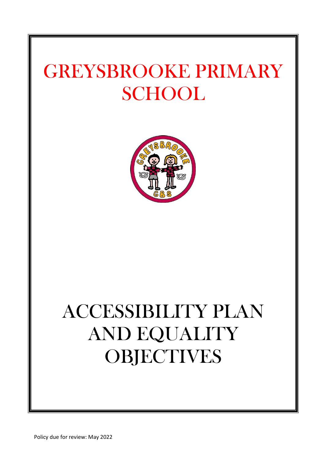# GREYSBROOKE PRIMARY **SCHOOL**



# ACCESSIBILITY PLAN AND EQUALITY **OBJECTIVES**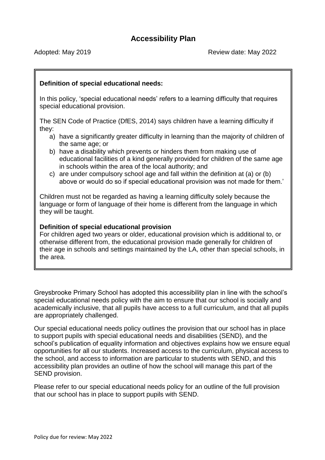# **Definition of special educational needs:**

In this policy, 'special educational needs' refers to a learning difficulty that requires special educational provision.

The SEN Code of Practice (DfES, 2014) says children have a learning difficulty if they:

- a) have a significantly greater difficulty in learning than the majority of children of the same age; or
- b) have a disability which prevents or hinders them from making use of educational facilities of a kind generally provided for children of the same age in schools within the area of the local authority; and
- c) are under compulsory school age and fall within the definition at (a) or (b) above or would do so if special educational provision was not made for them.'

Children must not be regarded as having a learning difficulty solely because the language or form of language of their home is different from the language in which they will be taught.

#### **Definition of special educational provision**

For children aged two years or older, educational provision which is additional to, or otherwise different from, the educational provision made generally for children of their age in schools and settings maintained by the LA, other than special schools, in the area.

Greysbrooke Primary School has adopted this accessibility plan in line with the school's special educational needs policy with the aim to ensure that our school is socially and academically inclusive, that all pupils have access to a full curriculum, and that all pupils are appropriately challenged.

Our special educational needs policy outlines the provision that our school has in place to support pupils with special educational needs and disabilities (SEND), and the school's publication of equality information and objectives explains how we ensure equal opportunities for all our students. Increased access to the curriculum, physical access to the school, and access to information are particular to students with SEND, and this accessibility plan provides an outline of how the school will manage this part of the SEND provision.

Please refer to our special educational needs policy for an outline of the full provision that our school has in place to support pupils with SEND.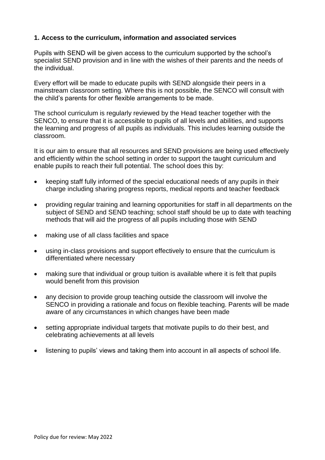#### **1. Access to the curriculum, information and associated services**

Pupils with SEND will be given access to the curriculum supported by the school's specialist SEND provision and in line with the wishes of their parents and the needs of the individual.

Every effort will be made to educate pupils with SEND alongside their peers in a mainstream classroom setting. Where this is not possible, the SENCO will consult with the child's parents for other flexible arrangements to be made.

The school curriculum is regularly reviewed by the Head teacher together with the SENCO, to ensure that it is accessible to pupils of all levels and abilities, and supports the learning and progress of all pupils as individuals. This includes learning outside the classroom.

It is our aim to ensure that all resources and SEND provisions are being used effectively and efficiently within the school setting in order to support the taught curriculum and enable pupils to reach their full potential. The school does this by:

- keeping staff fully informed of the special educational needs of any pupils in their charge including sharing progress reports, medical reports and teacher feedback
- providing regular training and learning opportunities for staff in all departments on the subject of SEND and SEND teaching; school staff should be up to date with teaching methods that will aid the progress of all pupils including those with SEND
- making use of all class facilities and space
- using in-class provisions and support effectively to ensure that the curriculum is differentiated where necessary
- making sure that individual or group tuition is available where it is felt that pupils would benefit from this provision
- any decision to provide group teaching outside the classroom will involve the SENCO in providing a rationale and focus on flexible teaching. Parents will be made aware of any circumstances in which changes have been made
- setting appropriate individual targets that motivate pupils to do their best, and celebrating achievements at all levels
- listening to pupils' views and taking them into account in all aspects of school life.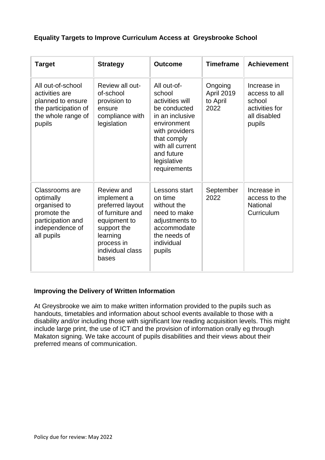# **Equality Targets to Improve Curriculum Access at Greysbrooke School**

| <b>Target</b>                                                                                                    | <b>Strategy</b>                                                                                                                                         | <b>Outcome</b>                                                                                                                                                                               | <b>Timeframe</b>                          | <b>Achievement</b>                                                                 |
|------------------------------------------------------------------------------------------------------------------|---------------------------------------------------------------------------------------------------------------------------------------------------------|----------------------------------------------------------------------------------------------------------------------------------------------------------------------------------------------|-------------------------------------------|------------------------------------------------------------------------------------|
| All out-of-school<br>activities are<br>planned to ensure<br>the participation of<br>the whole range of<br>pupils | Review all out-<br>of-school<br>provision to<br>ensure<br>compliance with<br>legislation                                                                | All out-of-<br>school<br>activities will<br>be conducted<br>in an inclusive<br>environment<br>with providers<br>that comply<br>with all current<br>and future<br>legislative<br>requirements | Ongoing<br>April 2019<br>to April<br>2022 | Increase in<br>access to all<br>school<br>activities for<br>all disabled<br>pupils |
| Classrooms are<br>optimally<br>organised to<br>promote the<br>participation and<br>independence of<br>all pupils | Review and<br>implement a<br>preferred layout<br>of furniture and<br>equipment to<br>support the<br>learning<br>process in<br>individual class<br>bases | Lessons start<br>on time<br>without the<br>need to make<br>adjustments to<br>accommodate<br>the needs of<br>individual<br>pupils                                                             | September<br>2022                         | Increase in<br>access to the<br><b>National</b><br>Curriculum                      |

# **Improving the Delivery of Written Information**

At Greysbrooke we aim to make written information provided to the pupils such as handouts, timetables and information about school events available to those with a disability and/or including those with significant low reading acquisition levels. This might include large print, the use of ICT and the provision of information orally eg through Makaton signing. We take account of pupils disabilities and their views about their preferred means of communication.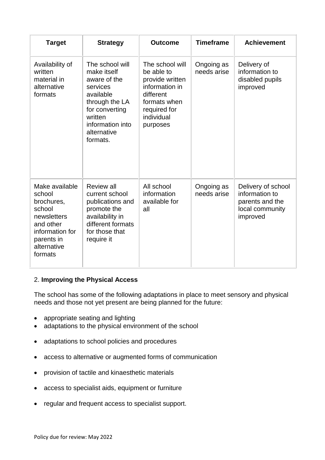| <b>Target</b>                                                                                                                           | <b>Strategy</b>                                                                                                                                                       | <b>Outcome</b>                                                                                                                            | <b>Timeframe</b>          | <b>Achievement</b>                                                                     |
|-----------------------------------------------------------------------------------------------------------------------------------------|-----------------------------------------------------------------------------------------------------------------------------------------------------------------------|-------------------------------------------------------------------------------------------------------------------------------------------|---------------------------|----------------------------------------------------------------------------------------|
| Availability of<br>written<br>material in<br>alternative<br>formats                                                                     | The school will<br>make itself<br>aware of the<br>services<br>available<br>through the LA<br>for converting<br>written<br>information into<br>alternative<br>formats. | The school will<br>be able to<br>provide written<br>information in<br>different<br>formats when<br>required for<br>individual<br>purposes | Ongoing as<br>needs arise | Delivery of<br>information to<br>disabled pupils<br>improved                           |
| Make available<br>school<br>brochures,<br>school<br>newsletters<br>and other<br>information for<br>parents in<br>alternative<br>formats | <b>Review all</b><br>current school<br>publications and<br>promote the<br>availability in<br>different formats<br>for those that<br>require it                        | All school<br>information<br>available for<br>all                                                                                         | Ongoing as<br>needs arise | Delivery of school<br>information to<br>parents and the<br>local community<br>improved |

# 2. **Improving the Physical Access**

The school has some of the following adaptations in place to meet sensory and physical needs and those not yet present are being planned for the future:

- appropriate seating and lighting
- adaptations to the physical environment of the school
- adaptations to school policies and procedures
- access to alternative or augmented forms of communication
- provision of tactile and kinaesthetic materials
- access to specialist aids, equipment or furniture
- regular and frequent access to specialist support.